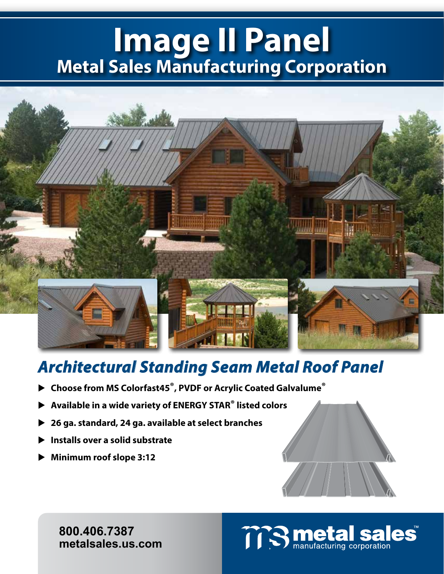# **Image II Panel Metal Sales Manufacturing Corporation**



# *Architectural Standing Seam Metal Roof Panel*

- **Choose from MS Colorfast45®, PVDF or Acrylic Coated Galvalume®**
- **Available in a wide variety of ENERGY STAR® listed colors**
- **26 ga. standard, 24 ga. available at select branches**
- **Installs over a solid substrate**
- **Minimum roof slope 3:12**



**800.406.7387 metalsales.us.com**